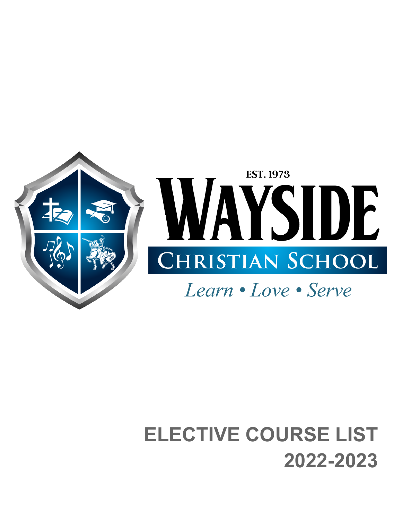

# **ELECTIVE COURSE LIST 2022-2023**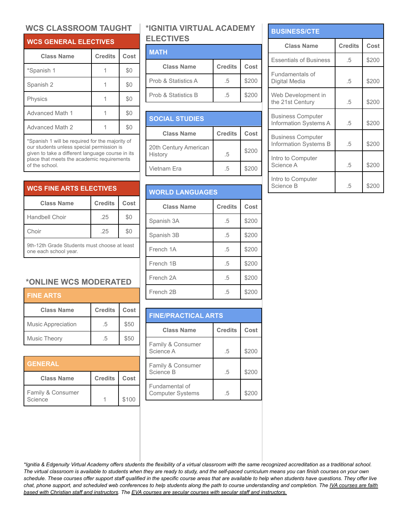### **WCS CLASSROOM TAUGHT**

| <b>WCS GENERAL ELECTIVES</b> |                |      |
|------------------------------|----------------|------|
| <b>Class Name</b>            | <b>Credits</b> | Cost |
| *Spanish 1                   |                | \$0  |
| Spanish 2                    |                | \$0  |
| <b>Physics</b>               |                | \$0  |
| <b>Advanced Math 1</b>       |                | \$0  |
| <b>Advanced Math 2</b>       |                | \$0  |

\*Spanish 1 will be required for the majority of our students unless special permission is given to take a different language course in its place that meets the academic requirements of the school.

### **WCS FINE ARTS ELECTIVES**

| <b>Class Name</b>                                                     | <b>Credits</b> | Cost |
|-----------------------------------------------------------------------|----------------|------|
| Handbell Choir                                                        | .25            | \$0  |
| Choir                                                                 | .25            | \$0  |
| 9th-12th Grade Students must choose at least<br>one each school year. |                |      |

## **\*ONLINE WCS MODERATED**

# **FINE ARTS**

| <b>Class Name</b>         | Credits   Cost |      |
|---------------------------|----------------|------|
| <b>Music Appreciation</b> | $\Delta$       | \$50 |
| Music Theory              |                | \$50 |

| <b>GENERAL</b>               |                |       |
|------------------------------|----------------|-------|
| <b>Class Name</b>            | <b>Credits</b> | Cost  |
| Family & Consumer<br>Science |                | \$100 |

# **\*IGNITIA VIRTUAL ACADEMY ELECTIVES**

#### **MATH**

| MAIH                           |                |       |
|--------------------------------|----------------|-------|
| <b>Class Name</b>              | <b>Credits</b> | Cost  |
| Prob & Statistics A            | ೆ              | \$200 |
| <b>Prob &amp; Statistics B</b> | .b             | \$200 |

| <b>SOCIAL STUDIES</b>            |                |       |
|----------------------------------|----------------|-------|
| <b>Class Name</b>                | <b>Credits</b> | Cost  |
| 20th Century American<br>History | .5             | \$200 |
| Vietnam Era                      | -5             | \$200 |

# **WORLD LANGUAGES Class Name Credits Cost** Spanish 3A .5 \$200 Spanish 3B .5 \$200 French 1A .5 \$200 French 1B .5 \$200 French 2A .5 \$200 French 2B .5 \$200

| <b>FINE/PRACTICAL ARTS</b>                |                |       |
|-------------------------------------------|----------------|-------|
| <b>Class Name</b>                         | <b>Credits</b> | Cost  |
| Family & Consumer<br>Science A            | -5             | \$200 |
| Family & Consumer<br>Science B            | .5             | \$200 |
| Fundamental of<br><b>Computer Systems</b> | $\cdot$        |       |

## **BUSINESS/CTE**

| <b>Class Name</b>                                        | <b>Credits</b> | <b>Cost</b> |
|----------------------------------------------------------|----------------|-------------|
| <b>Essentials of Business</b>                            | .5             | \$200       |
| Fundamentals of<br>Digital Media                         | .5             | \$200       |
| Web Development in<br>the 21st Century                   | .5             | \$200       |
| <b>Business Computer</b><br>Information Systems A        | .5             | \$200       |
| <b>Business Computer</b><br><b>Information Systems B</b> | .5             | \$200       |
| Intro to Computer<br>Science A                           | .5             | \$200       |
| Intro to Computer<br>Science B                           | .5             | \$200       |

\*Ignitia & Edgenuity Virtual Academy offers students the flexibility of a virtual classroom with the same recognized accreditation as a traditional school. The virtual classroom is available to students when they are ready to study, and the self-paced curriculum means you can finish courses on your own schedule. These courses offer support staff qualified in the specific course areas that are available to help when students have questions. They offer live chat, phone support, and scheduled web conferences to help students along the path to course understanding and completion. The IVA courses are faith based with Christian staff and instructors. The EVA courses are secular courses with secular staff and instructors.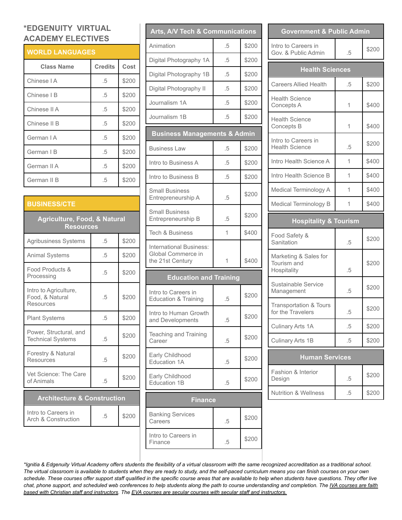# **\*EDGENUITY VIRTUAL ACADEMY ELECTIVES**

| <b>WORLD LANGUAGES</b> |                |       |
|------------------------|----------------|-------|
| <b>Class Name</b>      | <b>Credits</b> | Cost  |
| Chinese I A            | .5             | \$200 |
| Chinese I B            | .5             | \$200 |
| Chinese II A           | .5             | \$200 |
| Chinese II B           | .5             | \$200 |
| German I A             | .5             | \$200 |
| German I B             | .5             | \$200 |
| German II A            | .5             | \$200 |
| German II B            | .5             | \$200 |

| <b>BUSINESS/CTE</b><br><b>Agriculture, Food, &amp; Natural</b><br><b>Resources</b> |    |                |
|------------------------------------------------------------------------------------|----|----------------|
|                                                                                    |    |                |
| Animal Systems                                                                     | .5 | \$200          |
| Food Products &<br>Processing                                                      | .5 | \$200          |
| Intro to Agriculture,<br>Food, & Natural<br>Resources                              | .5 | \$200          |
| <b>Plant Systems</b>                                                               | .5 | \$200          |
| Power, Structural, and<br><b>Technical Systems</b>                                 | .5 | \$200          |
| Forestry & Natural<br>Resources                                                    | .5 | \$200          |
| Vet Science: The Care<br>of Animals                                                | .5 | \$200          |
| <b>Architecture &amp; Construction</b>                                             |    |                |
| Intro to Careers in                                                                | -  | 0 <sup>0</sup> |

| Intro to Careers in | \$200 |
|---------------------|-------|
| Arch & Construction |       |

| Arts, A/V Tech & Communications                                   |        |       |
|-------------------------------------------------------------------|--------|-------|
| Animation                                                         | .5     | \$200 |
| Digital Photography 1A                                            | .5     | \$200 |
| Digital Photography 1B                                            | .5     | \$200 |
| Digital Photography II                                            | .5     | \$200 |
| Journalism 1A                                                     | .5     | \$200 |
| Journalism 1B                                                     | .5     | \$200 |
| <b>Business Managements &amp; Admin</b>                           |        |       |
| Business Law                                                      | .5     | \$200 |
| Intro to Business A                                               | .5     | \$200 |
| Intro to Business B                                               | .5     | \$200 |
| <b>Small Business</b><br>Entrepreneurship A                       | .5     | \$200 |
| <b>Small Business</b><br>Entrepreneurship B                       | .5     | \$200 |
| <b>Tech &amp; Business</b>                                        | 1      | \$400 |
| International Business:<br>Global Commerce in<br>the 21st Century | 1      | \$400 |
| <b>Education and Training</b>                                     |        |       |
| Intro to Careers in<br><b>Education &amp; Training</b>            | .5     | \$200 |
| Intro to Human Growth<br>and Developments                         | $.5\,$ | \$200 |
| Teaching and Training<br>Career                                   | .5     | \$200 |
| Early Childhood<br>Education 1A                                   | .5     | \$200 |
| Early Childhood<br><b>Education 1B</b>                            | .5     | \$200 |
| <b>Finance</b>                                                    |        |       |

| <b>Einance</b>                     |    |       |
|------------------------------------|----|-------|
| <b>Banking Services</b><br>Careers | .h | \$200 |
| Intro to Careers in<br>Finance     | .h | \$200 |

| Government & Public Admin                              |    |       |
|--------------------------------------------------------|----|-------|
| Intro to Careers in<br>Gov. & Public Admin             | .5 | \$200 |
| <b>Health Sciences</b>                                 |    |       |
| <b>Careers Allied Health</b>                           | .5 | \$200 |
| <b>Health Science</b><br>Concepts A                    | 1  | \$400 |
| <b>Health Science</b><br>Concepts B                    | 1  | \$400 |
| Intro to Careers in<br><b>Health Science</b>           | .5 | \$200 |
| Intro Health Science A                                 | 1  | \$400 |
| Intro Health Science B                                 | 1  | \$400 |
| Medical Terminology A                                  | 1  | \$400 |
| Medical Terminology B                                  | 1  | \$400 |
| <b>Hospitality &amp; Tourism</b>                       |    |       |
| Food Safety &<br>Sanitation                            | .5 | \$200 |
| Marketing & Sales for<br>Tourism and<br>Hospitality    | .5 | \$200 |
| Sustainable Service<br>Management                      | .5 | \$200 |
| <b>Transportation &amp; Tours</b><br>for the Travelers | .5 | \$200 |
| Culinary Arts 1A                                       | .5 | \$200 |
| <b>Culinary Arts 1B</b>                                | .5 | \$200 |
| <b>Human Services</b>                                  |    |       |
| Fashion & Interior<br>Design                           | .5 | \$200 |

Nutrition & Wellness .5 \$200

\*Ignitia & Edgenuity Virtual Academy offers students the flexibility of a virtual classroom with the same recognized accreditation as a traditional school. The virtual classroom is available to students when they are ready to study, and the self-paced curriculum means you can finish courses on your own schedule. These courses offer support staff qualified in the specific course areas that are available to help when students have questions. They offer live chat, phone support, and scheduled web conferences to help students along the path to course understanding and completion. The IVA courses are faith based with Christian staff and instructors. The EVA courses are secular courses with secular staff and instructors.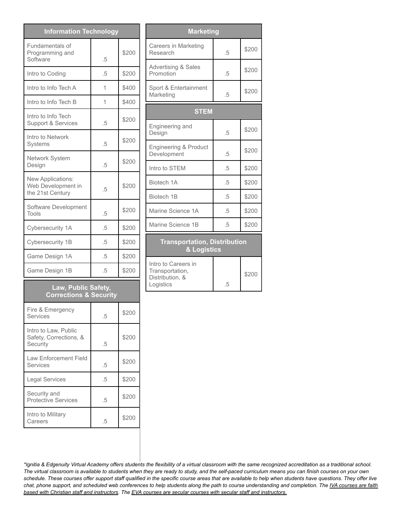| <b>Information Technology</b>                               |    |       |
|-------------------------------------------------------------|----|-------|
| Fundamentals of<br>Programming and<br>Software              | .5 | \$200 |
| Intro to Coding                                             | .5 | \$200 |
| Intro to Info Tech A                                        | 1  | \$400 |
| Intro to Info Tech B                                        | 1  | \$400 |
| Intro to Info Tech<br>Support & Services                    | .5 | \$200 |
| Intro to Network<br><b>Systems</b>                          | .5 | \$200 |
| Network System<br>Design                                    | .5 | \$200 |
| New Applications:<br>Web Development in<br>the 21st Century | .5 | \$200 |
| Software Development<br>Tools                               | .5 | \$200 |
| Cybersecurity 1A                                            | .5 | \$200 |
| Cybersecurity 1B                                            | .5 | \$200 |
| Game Design 1A                                              | .5 | \$200 |
| Game Design 1B                                              | .5 | \$200 |

# **Law, Public Safety, Corrections & Security** Fire & Emergency Services .5 \$200

| Services                                                   |    |       |
|------------------------------------------------------------|----|-------|
| Intro to Law, Public<br>Safety, Corrections, &<br>Security | .5 | \$200 |
| <b>Law Enforcement Field</b><br>Services                   | .5 | \$200 |
| <b>Legal Services</b>                                      | .5 | \$200 |
| Security and<br><b>Protective Services</b>                 | .5 | \$200 |
| Intro to Military<br>Careers                               | -5 | \$20  |

| <b>Marketing</b>                            |            |       |  |
|---------------------------------------------|------------|-------|--|
| Careers in Marketing<br>Research            | .5         | \$200 |  |
| <b>Advertising &amp; Sales</b><br>Promotion | .5         | \$200 |  |
| Sport & Entertainment<br>Marketing          | .5         | \$200 |  |
| <b>STEM</b>                                 |            |       |  |
| Engineering and<br>Design                   | .5         | \$200 |  |
| Engineering & Product<br>Development        | .5         | \$200 |  |
| Intro to STEM                               | $\sqrt{5}$ | \$200 |  |
| Biotech 1A                                  | .5         | \$200 |  |
| <b>Biotech 1B</b>                           | $\sqrt{5}$ | \$200 |  |
| Marine Science 1A                           | .5         | \$200 |  |
| Marine Science 1B                           | .5         | \$200 |  |

#### **Transportation, Distribution & Logistics**

| Intro to Careers in<br>Transportation,<br>Distribution, &<br>Logistics | $\cdot$ | \$200 |
|------------------------------------------------------------------------|---------|-------|

\*Ignitia & Edgenuity Virtual Academy offers students the flexibility of a virtual classroom with the same recognized accreditation as a traditional school. The virtual classroom is available to students when they are ready to study, and the self-paced curriculum means you can finish courses on your own schedule. These courses offer support staff qualified in the specific course areas that are available to help when students have questions. They offer live chat, phone support, and scheduled web conferences to help students along the path to course understanding and completion. The IVA courses are faith based with Christian staff and instructors. The EVA courses are secular courses with secular staff and instructors.